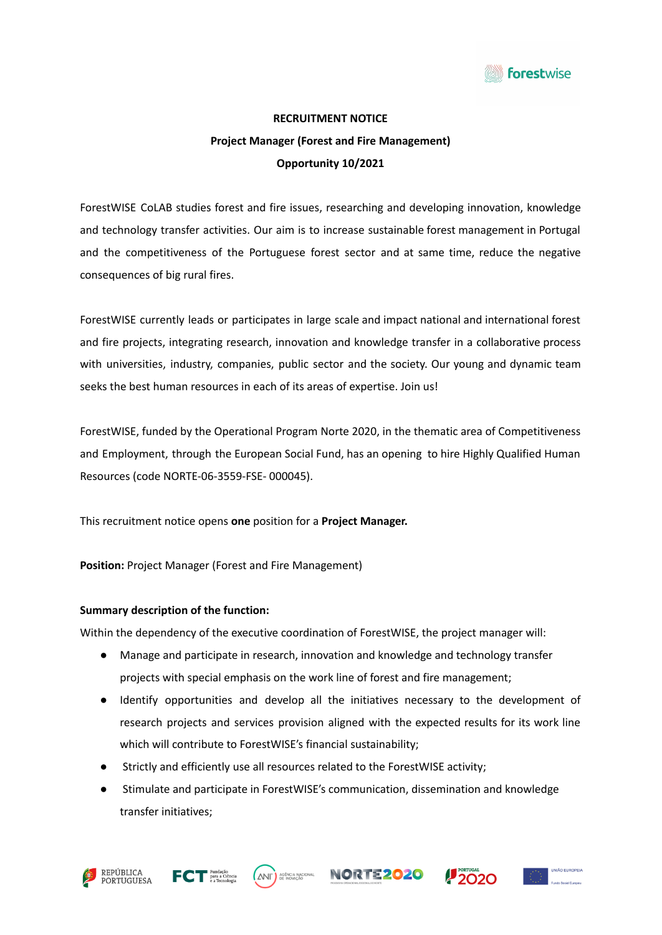

# **RECRUITMENT NOTICE Project Manager (Forest and Fire Management) Opportunity 10/2021**

ForestWISE CoLAB studies forest and fire issues, researching and developing innovation, knowledge and technology transfer activities. Our aim is to increase sustainable forest management in Portugal and the competitiveness of the Portuguese forest sector and at same time, reduce the negative consequences of big rural fires.

ForestWISE currently leads or participates in large scale and impact national and international forest and fire projects, integrating research, innovation and knowledge transfer in a collaborative process with universities, industry, companies, public sector and the society. Our young and dynamic team seeks the best human resources in each of its areas of expertise. Join us!

ForestWISE, funded by the Operational Program Norte 2020, in the thematic area of Competitiveness and Employment, through the European Social Fund, has an opening to hire Highly Qualified Human Resources (code NORTE-06-3559-FSE- 000045).

This recruitment notice opens **one** position for a **Project Manager.**

**Position:** Project Manager (Forest and Fire Management)

#### **Summary description of the function:**

Within the dependency of the executive coordination of ForestWISE, the project manager will:

- Manage and participate in research, innovation and knowledge and technology transfer projects with special emphasis on the work line of forest and fire management;
- Identify opportunities and develop all the initiatives necessary to the development of research projects and services provision aligned with the expected results for its work line which will contribute to ForestWISE's financial sustainability;
- Strictly and efficiently use all resources related to the ForestWISE activity;
- Stimulate and participate in ForestWISE's communication, dissemination and knowledge transfer initiatives;









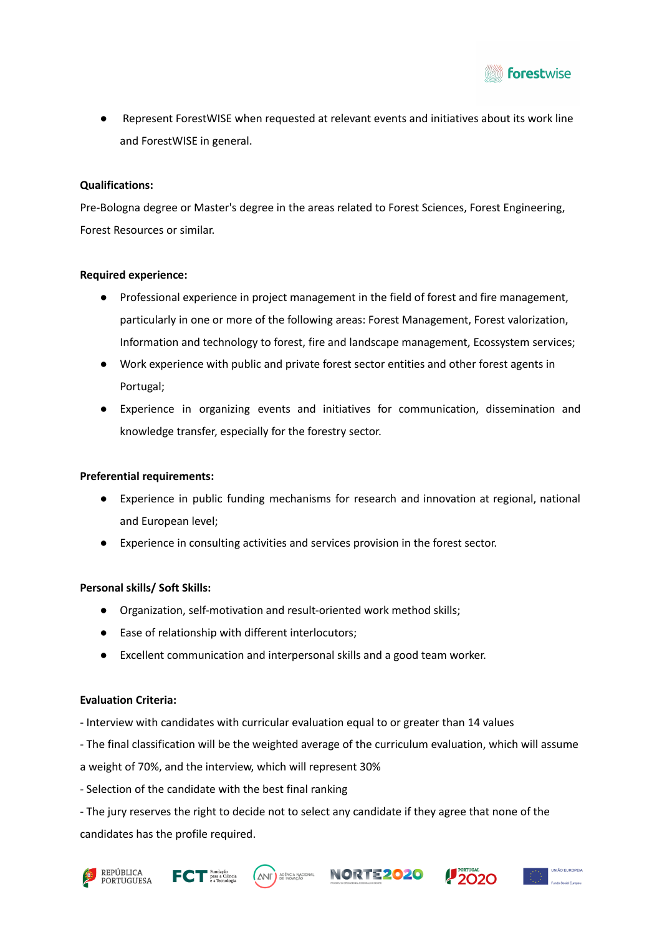

● Represent ForestWISE when requested at relevant events and initiatives about its work line and ForestWISE in general.

#### **Qualifications:**

Pre-Bologna degree or Master's degree in the areas related to Forest Sciences, Forest Engineering, Forest Resources or similar.

#### **Required experience:**

- Professional experience in project management in the field of forest and fire management, particularly in one or more of the following areas: Forest Management, Forest valorization, Information and technology to forest, fire and landscape management, Ecossystem services;
- Work experience with public and private forest sector entities and other forest agents in Portugal;
- Experience in organizing events and initiatives for communication, dissemination and knowledge transfer, especially for the forestry sector.

## **Preferential requirements:**

- Experience in public funding mechanisms for research and innovation at regional, national and European level;
- Experience in consulting activities and services provision in the forest sector.

#### **Personal skills/ Soft Skills:**

- Organization, self-motivation and result-oriented work method skills;
- Ease of relationship with different interlocutors;
- Excellent communication and interpersonal skills and a good team worker.

## **Evaluation Criteria:**

- Interview with candidates with curricular evaluation equal to or greater than 14 values

- The final classification will be the weighted average of the curriculum evaluation, which will assume

a weight of 70%, and the interview, which will represent 30%

- Selection of the candidate with the best final ranking

- The jury reserves the right to decide not to select any candidate if they agree that none of the candidates has the profile required.